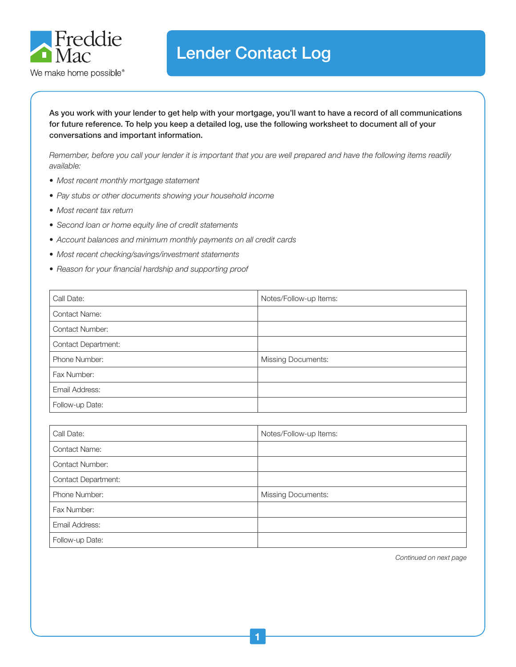

## Lender Contact Log

As you work with your lender to get help with your mortgage, you'll want to have a record of all communications for future reference. To help you keep a detailed log, use the following worksheet to document all of your conversations and important information.

*Remember, before you call your lender it is important that you are well prepared and have the following items readily available:*

- *• Most recent monthly mortgage statement*
- *• Pay stubs or other documents showing your household income*
- *• Most recent tax return*
- *• Second loan or home equity line of credit statements*
- *• Account balances and minimum monthly payments on all credit cards*
- *• Most recent checking/savings/investment statements*
- *• Reason for your financial hardship and supporting proof*

| Call Date:                 | Notes/Follow-up Items:    |
|----------------------------|---------------------------|
| <b>Contact Name:</b>       |                           |
| <b>Contact Number:</b>     |                           |
| <b>Contact Department:</b> |                           |
| Phone Number:              | <b>Missing Documents:</b> |
| Fax Number:                |                           |
| Email Address:             |                           |
| Follow-up Date:            |                           |

| Call Date:                 | Notes/Follow-up Items:    |
|----------------------------|---------------------------|
| <b>Contact Name:</b>       |                           |
| <b>Contact Number:</b>     |                           |
| <b>Contact Department:</b> |                           |
| Phone Number:              | <b>Missing Documents:</b> |
| Fax Number:                |                           |
| Email Address:             |                           |
| Follow-up Date:            |                           |

*Continued on next page*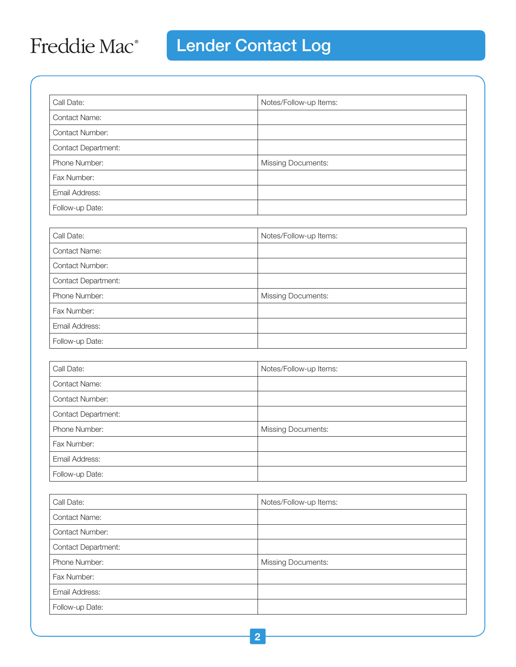## Freddie Mac<sup>®</sup>

# **Lender Contact Log**

| Call Date:                 | Notes/Follow-up Items:    |
|----------------------------|---------------------------|
| <b>Contact Name:</b>       |                           |
| <b>Contact Number:</b>     |                           |
| <b>Contact Department:</b> |                           |
| Phone Number:              | <b>Missing Documents:</b> |
| Fax Number:                |                           |
| Email Address:             |                           |
| Follow-up Date:            |                           |

| Call Date:                 | Notes/Follow-up Items:    |
|----------------------------|---------------------------|
| <b>Contact Name:</b>       |                           |
| <b>Contact Number:</b>     |                           |
| <b>Contact Department:</b> |                           |
| Phone Number:              | <b>Missing Documents:</b> |
| Fax Number:                |                           |
| Email Address:             |                           |
| Follow-up Date:            |                           |

| Call Date:                 | Notes/Follow-up Items:    |
|----------------------------|---------------------------|
| <b>Contact Name:</b>       |                           |
| <b>Contact Number:</b>     |                           |
| <b>Contact Department:</b> |                           |
| Phone Number:              | <b>Missing Documents:</b> |
| Fax Number:                |                           |
| Email Address:             |                           |
| Follow-up Date:            |                           |

| Call Date:                 | Notes/Follow-up Items:    |
|----------------------------|---------------------------|
| <b>Contact Name:</b>       |                           |
| <b>Contact Number:</b>     |                           |
| <b>Contact Department:</b> |                           |
| Phone Number:              | <b>Missing Documents:</b> |
| Fax Number:                |                           |
| Email Address:             |                           |
| Follow-up Date:            |                           |